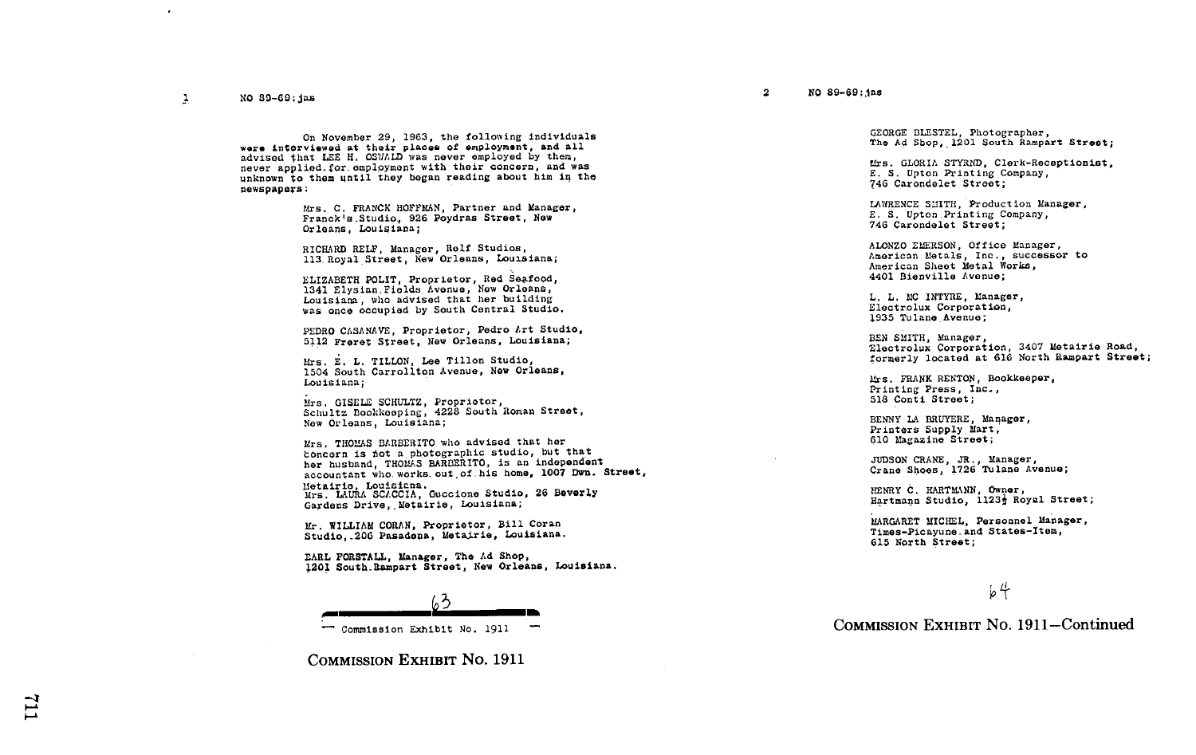٠

On November 29, 1963, the following individuals<br>were interviewed at their places of employment, and all ware interviewed at their places of employment, and all<br>advised that LEE H. OSWALD was never employed by them,<br>and was never explored with their concerns and wa never applied.for employment with their concern, and was unknown to them until they began reading about him in the newspapers :

> Mrs. C. FRANCK HOFFMAN, Partner and Manager, Franck's Studio, 926 Poydras Street, New Orleans, Louisiana;

RICHARD RELF, Manager, Rolf Studios, 113. Royal Street, New Orleans, Louisiana;

ELIZABETH POLIT, Proprietor, Red Seafood,<br>1341 Elysian Fields Avenue, New Orleans, Louisiana, who advised that her building was once occupied by South Central Studio.

PEDRO CASANAVE, Proprietor, Pedro Art Studio, 5112 Freret Street, Now Orleans, Louisiana ;

Mrs. E. L. TILLON. Lee Tillon Studio, Mrs. E. L. TILLON, Lee Tillon Studio,<br>1504 South Carrollton Avenue, New Orleans,<br>Laudedone, Louisiana;

Mrs, GISELE SCHULTZ, Proprietor,<br>Schultz Bookkeeping, 4228 South Roman Street,<br>Num Oulson Lebistan New Orleans, Louisiana:

Mrs. THOMAS BARBERITO who advised that her<br>boncern is not a photographic studio, but that her husband, THOMAS BARBERITO, is an independent her husband, THOMAS BARBERITO, is an independent<br>accountant who works out of his home, 1007 Dwn. Street, Metairie, Louisiana.<br>Mrs. LAURA SCACCIA, Guccione Studio, 26 Beverly<br>Candara Drive, Metairie, Louisiana. Gardens Drive, Metairie, Louisiana;

Mr . WILLIAM CORAN, Proprietor, Bill Coran Studio,-206 Pasadena, Metairie, Louisiana.

EARL FORSTALL, Manager, The Ad Shop, 1201 South-Rampart Street, Nov Orleans, Louisiana.

 $63$ 

- Commission Exhibit No . <sup>1911</sup>

COMMISSION EXHIBIT No. <sup>1911</sup>

GEORGE BLESTEL, Photographer, The Ad Shop,\_1201 South Rampart Street ;

Urs . GLORIA STYRND, Clerk-Receptionist, E. S. Upton Printing Company, 746 Carondelet Street ;

LAWRENCE S:JITH, Production Manager, E. S. Upton Printing Company, 746 Carondelet Street ;

ALONZO EMERSON, Office Manager, American Metals, Inc., successor to American Sheet Metal Works, 4401 Bienville Avenue ;

L. L. MC INTYRE, Manager, Electrolux Corporation, 1935 Tulane Avenue ;

BEN SMITH, Manager, 'Electrolux Corporation, 3407 Metairie Road, formerly located at 616 North Rampart Street ;

Mrs . FRANK RENTON, Bookkeeper, Printing Press, Inc-, 518 Conti Street ;

BENNY LA BRUYERE, Manager,<br>Printers Supply Mart. Printers Supply Mart, 610 Magazine Street ;

JUDSON CRANE, JR ., Manager, Crane Shoes, 1726 Tulane Avenue ;

HENRY C. HARTMANN, Owner,<br>Hartmann Studio, 1123<sup>1</sup> Royal Street;

MARGARET MICHEL, Personnel Manager, Times-Picayune-and States-Xtem, 615 North Street ;

 $64$ 

COMMISSION EXHIBIT No. 1911-Continued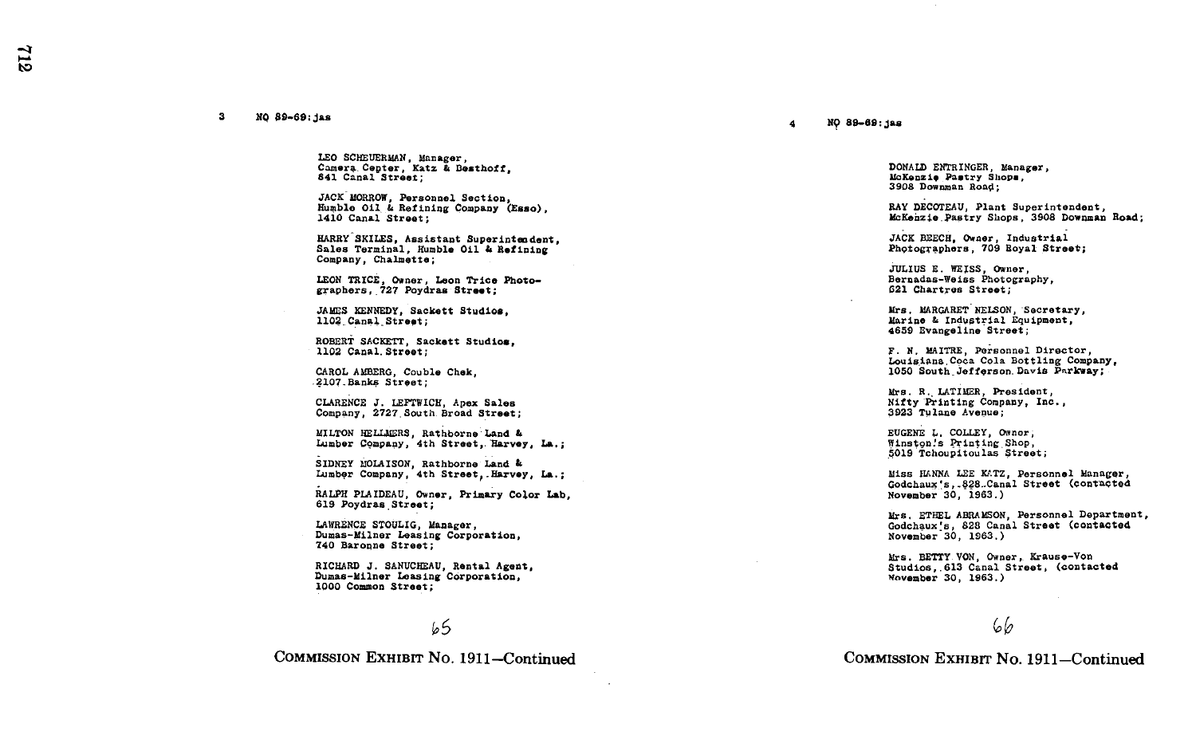ದ

## 3 NO 89-69~jas

LEO SCHEUERMAN, Manager, Camera Cepter, Katz & Besthoff, 841 Canal Street ;

JACK MORROW, Personnel Section, Humble Oil,& Refining Company (Esso), 1410 Canal Street ;

HARRY SKILES, Assistant Superinten dent, Sales Terminal, Humble Oil & Refining Company, Chalmette;

LEON TRICE, Owner, Leon Trice Photographers, 727 Poydras Street;

JAMES KENNEDY, Sackett Studios . 1102 Canal Street:

ROBERT SACKETT, Sackett Studios, 1102 Canal.Street ;

CAROL AMBERG, Couble Chek, 2107-Banks Street ;

CLARENCE J . LEFTWICH, Apex Sales Company, 2727 South Broad Street;

MILTON HELLMERS, Rathborne Land & Lumber Company, 4th Street, Harvey, La.;

SIDNEY MOLAISON, Rathborne Land & Lumber Company, 4th Street, Harvey, La.;

RALPH PLAIDEAU, Owner, Primary Color Lab. 619 Poydras Street:

LAWRENCE STOULIG, Manager, Dumas-Milner Leasing Corporation, 740 Baropne Street ;

RICHARD J. SANUCHEAU, Rental Agen<br>Dumas-Milner Leasing Corporation, RICHARD J. SANUCHEAU, Rental Agent. 1000 Common Street ;

## ~5

COMMISSION EXHiBrr No. 1911-Continued

## 4 N9 89-69 :jas

DONALD ENTRINGER, Manager, McKenzie Pastry Shop., 3908 Dowuman Road ;

RAY DECOTEAU, Plant Superintendent, McKenzie Pastry Shops, 3908 Downman Road;

JACK BEECH, Owner, Industrial Photographers, 709 Royal Street;

JULIUS E . WEISS, Owner, Bernadus-Weiss Photography, 621 Chartres Street ;

Mrs. MARGARET NELSON, Secretary, Marine & Industrial Equipment, 4659 Evangeline Street ;

F. N. MAITRE, Personnel Director, Louisiana.Coca Coln Bottling Company, 1050 South\_Jeffgrson.Davis Pnrkway;

Mrs . R.,LATIMCR, President, Nifty Printing Company, Inc., 3923 Tulane Avenue ;

EUGENE L. COLLEY, Owner, Winstonis Printing,Shop, ~5019 Tchoupitoulas Street ;

Miss HANNA LEE KATZ, Personnel Manager, Godchaux 's , - §28..Canal Street (Contacted November 30, 1963 .)

Mrs. ETHEL ABRAMSON, Personnel Department, Godchaux's, 828 Canal Street (contacted November 30, 1963 .)

studios, 613 Canal Street, (contacted<br>November 30, 1963) BETTY VON, Owner, Krause-Von<br>13 Ossel Street (2001) No**vember** 30, 1963.)

## 66

COMMISSION EXHIBIT No. 1911-Continued